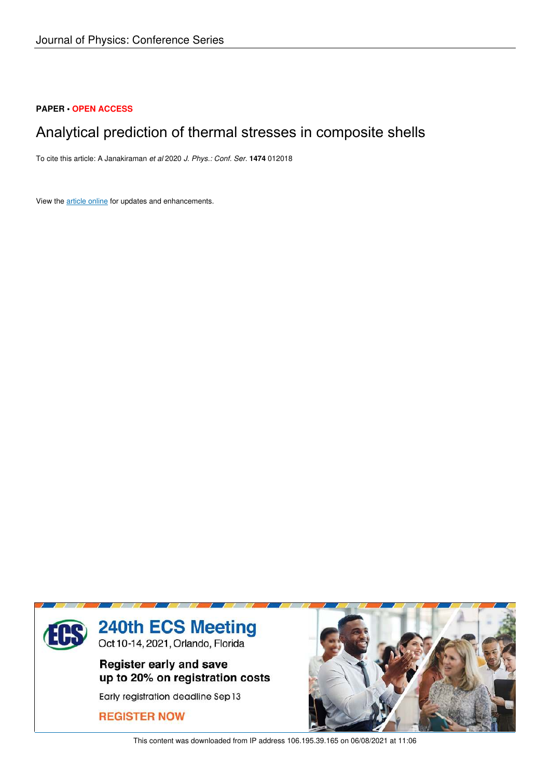## **PAPER • OPEN ACCESS**

# Analytical prediction of thermal stresses in composite shells

To cite this article: A Janakiraman *et al* 2020 *J. Phys.: Conf. Ser.* **1474** 012018

View the article online for updates and enhancements.



This content was downloaded from IP address 106.195.39.165 on 06/08/2021 at 11:06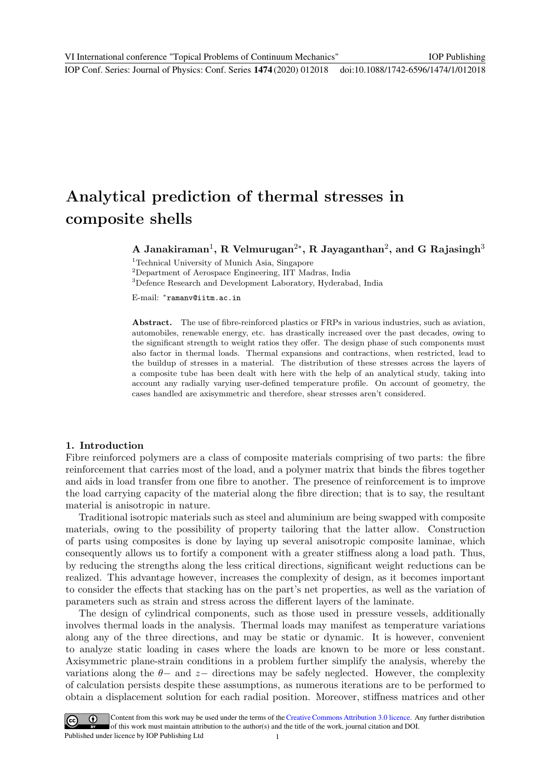# Analytical prediction of thermal stresses in composite shells

A Janakiraman<sup>1</sup>, R Velmurugan<sup>2\*</sup>, R Jayaganthan<sup>2</sup>, and G Rajasingh<sup>3</sup>

<sup>1</sup>Technical University of Munich Asia, Singapore

<sup>2</sup>Department of Aerospace Engineering, IIT Madras, India

<sup>3</sup>Defence Research and Development Laboratory, Hyderabad, India

E-mail: <sup>∗</sup> ramanv@iitm.ac.in

Abstract. The use of fibre-reinforced plastics or FRPs in various industries, such as aviation, automobiles, renewable energy, etc. has drastically increased over the past decades, owing to the significant strength to weight ratios they offer. The design phase of such components must also factor in thermal loads. Thermal expansions and contractions, when restricted, lead to the buildup of stresses in a material. The distribution of these stresses across the layers of a composite tube has been dealt with here with the help of an analytical study, taking into account any radially varying user-defined temperature profile. On account of geometry, the cases handled are axisymmetric and therefore, shear stresses aren't considered.

### 1. Introduction

Fibre reinforced polymers are a class of composite materials comprising of two parts: the fibre reinforcement that carries most of the load, and a polymer matrix that binds the fibres together and aids in load transfer from one fibre to another. The presence of reinforcement is to improve the load carrying capacity of the material along the fibre direction; that is to say, the resultant material is anisotropic in nature.

Traditional isotropic materials such as steel and aluminium are being swapped with composite materials, owing to the possibility of property tailoring that the latter allow. Construction of parts using composites is done by laying up several anisotropic composite laminae, which consequently allows us to fortify a component with a greater stiffness along a load path. Thus, by reducing the strengths along the less critical directions, significant weight reductions can be realized. This advantage however, increases the complexity of design, as it becomes important to consider the effects that stacking has on the part's net properties, as well as the variation of parameters such as strain and stress across the different layers of the laminate.

The design of cylindrical components, such as those used in pressure vessels, additionally involves thermal loads in the analysis. Thermal loads may manifest as temperature variations along any of the three directions, and may be static or dynamic. It is however, convenient to analyze static loading in cases where the loads are known to be more or less constant. Axisymmetric plane-strain conditions in a problem further simplify the analysis, whereby the variations along the  $\theta$ − and  $z$ − directions may be safely neglected. However, the complexity of calculation persists despite these assumptions, as numerous iterations are to be performed to obtain a displacement solution for each radial position. Moreover, stiffness matrices and other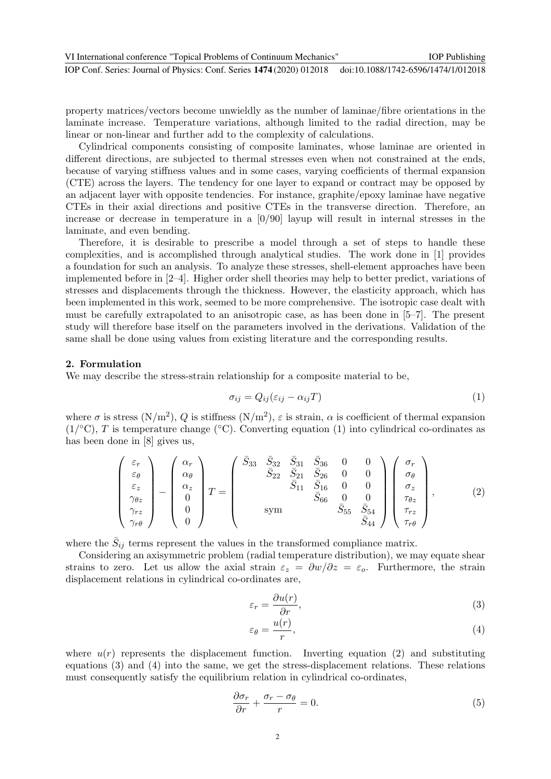property matrices/vectors become unwieldly as the number of laminae/fibre orientations in the laminate increase. Temperature variations, although limited to the radial direction, may be linear or non-linear and further add to the complexity of calculations.

Cylindrical components consisting of composite laminates, whose laminae are oriented in different directions, are subjected to thermal stresses even when not constrained at the ends, because of varying stiffness values and in some cases, varying coefficients of thermal expansion (CTE) across the layers. The tendency for one layer to expand or contract may be opposed by an adjacent layer with opposite tendencies. For instance, graphite/epoxy laminae have negative CTEs in their axial directions and positive CTEs in the transverse direction. Therefore, an increase or decrease in temperature in a [0/90] layup will result in internal stresses in the laminate, and even bending.

Therefore, it is desirable to prescribe a model through a set of steps to handle these complexities, and is accomplished through analytical studies. The work done in [1] provides a foundation for such an analysis. To analyze these stresses, shell-element approaches have been implemented before in [2–4]. Higher order shell theories may help to better predict, variations of stresses and displacements through the thickness. However, the elasticity approach, which has been implemented in this work, seemed to be more comprehensive. The isotropic case dealt with must be carefully extrapolated to an anisotropic case, as has been done in [5–7]. The present study will therefore base itself on the parameters involved in the derivations. Validation of the same shall be done using values from existing literature and the corresponding results.

#### 2. Formulation

We may describe the stress-strain relationship for a composite material to be,

$$
\sigma_{ij} = Q_{ij}(\varepsilon_{ij} - \alpha_{ij}T) \tag{1}
$$

where  $\sigma$  is stress  $(N/m^2)$ , Q is stiffness  $(N/m^2)$ ,  $\varepsilon$  is strain,  $\alpha$  is coefficient of thermal expansion  $(1)$ <sup>o</sup>C), T is temperature change (°C). Converting equation (1) into cylindrical co-ordinates as has been done in [8] gives us,

$$
\begin{pmatrix}\n\varepsilon_r \\
\varepsilon_\theta \\
\varepsilon_z \\
\varepsilon_z \\
\gamma_{\theta z} \\
\gamma_{r\theta}\n\end{pmatrix} - \begin{pmatrix}\n\alpha_r \\
\alpha_\theta \\
\alpha_z \\
0 \\
0 \\
0\n\end{pmatrix} T = \begin{pmatrix}\n\bar{S}_{33} & \bar{S}_{32} & \bar{S}_{31} & \bar{S}_{36} & 0 & 0 \\
\bar{S}_{22} & \bar{S}_{21} & \bar{S}_{26} & 0 & 0 \\
\bar{S}_{22} & \bar{S}_{21} & \bar{S}_{26} & 0 & 0 \\
\bar{S}_{11} & \bar{S}_{16} & 0 & 0 \\
\bar{S}_{66} & 0 & 0 & 0 \\
\bar{S}_{55} & \bar{S}_{54} & \bar{S}_{54} \\
\bar{S}_{44}\n\end{pmatrix} \begin{pmatrix}\n\sigma_r \\
\sigma_\theta \\
\sigma_z \\
\sigma_z \\
\tau_{rz} \\
\tau_{r\theta}\n\end{pmatrix},
$$
\n(2)

where the  $\bar{S}_{ij}$  terms represent the values in the transformed compliance matrix.

Considering an axisymmetric problem (radial temperature distribution), we may equate shear strains to zero. Let us allow the axial strain  $\varepsilon_z = \frac{\partial w}{\partial z} = \varepsilon_o$ . Furthermore, the strain displacement relations in cylindrical co-ordinates are,

$$
\varepsilon_r = \frac{\partial u(r)}{\partial r},\tag{3}
$$

$$
\varepsilon_{\theta} = \frac{u(r)}{r},\tag{4}
$$

where  $u(r)$  represents the displacement function. Inverting equation (2) and substituting equations (3) and (4) into the same, we get the stress-displacement relations. These relations must consequently satisfy the equilibrium relation in cylindrical co-ordinates,

$$
\frac{\partial \sigma_r}{\partial r} + \frac{\sigma_r - \sigma_\theta}{r} = 0.
$$
\n(5)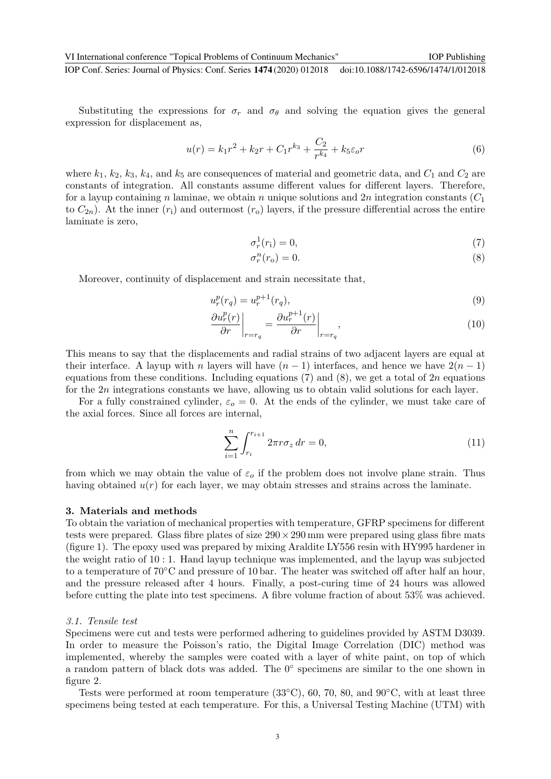Substituting the expressions for  $\sigma_r$  and  $\sigma_\theta$  and solving the equation gives the general expression for displacement as,

$$
u(r) = k_1 r^2 + k_2 r + C_1 r^{k_3} + \frac{C_2}{r^{k_4}} + k_5 \varepsilon_o r \tag{6}
$$

where  $k_1, k_2, k_3, k_4$ , and  $k_5$  are consequences of material and geometric data, and  $C_1$  and  $C_2$  are constants of integration. All constants assume different values for different layers. Therefore, for a layup containing n laminae, we obtain n unique solutions and 2n integration constants  $(C_1)$ to  $C_{2n}$ ). At the inner  $(r_1)$  and outermost  $(r_0)$  layers, if the pressure differential across the entire laminate is zero,

$$
\sigma_r^1(r_i) = 0,\t\t(7)
$$

$$
\sigma_r^n(r_o) = 0.\tag{8}
$$

Moreover, continuity of displacement and strain necessitate that,

$$
u_r^p(r_q) = u_r^{p+1}(r_q),
$$
\n(9)

$$
\left. \frac{\partial u_r^p(r)}{\partial r} \right|_{r=r_q} = \left. \frac{\partial u_r^{p+1}(r)}{\partial r} \right|_{r=r_q},\tag{10}
$$

This means to say that the displacements and radial strains of two adjacent layers are equal at their interface. A layup with n layers will have  $(n-1)$  interfaces, and hence we have  $2(n-1)$ equations from these conditions. Including equations  $(7)$  and  $(8)$ , we get a total of  $2n$  equations for the  $2n$  integrations constants we have, allowing us to obtain valid solutions for each layer.

For a fully constrained cylinder,  $\varepsilon_0 = 0$ . At the ends of the cylinder, we must take care of the axial forces. Since all forces are internal,

$$
\sum_{i=1}^{n} \int_{r_i}^{r_{i+1}} 2\pi r \sigma_z \, dr = 0,\tag{11}
$$

from which we may obtain the value of  $\varepsilon_o$  if the problem does not involve plane strain. Thus having obtained  $u(r)$  for each layer, we may obtain stresses and strains across the laminate.

#### 3. Materials and methods

To obtain the variation of mechanical properties with temperature, GFRP specimens for different tests were prepared. Glass fibre plates of size  $290 \times 290$  mm were prepared using glass fibre mats (figure 1). The epoxy used was prepared by mixing Araldite LY556 resin with HY995 hardener in the weight ratio of 10 : 1. Hand layup technique was implemented, and the layup was subjected to a temperature of 70◦C and pressure of 10 bar. The heater was switched off after half an hour, and the pressure released after 4 hours. Finally, a post-curing time of 24 hours was allowed before cutting the plate into test specimens. A fibre volume fraction of about 53% was achieved.

#### 3.1. Tensile test

Specimens were cut and tests were performed adhering to guidelines provided by ASTM D3039. In order to measure the Poisson's ratio, the Digital Image Correlation (DIC) method was implemented, whereby the samples were coated with a layer of white paint, on top of which a random pattern of black dots was added. The 0° specimens are similar to the one shown in figure 2.

Tests were performed at room temperature  $(33°C)$ , 60, 70, 80, and  $90°C$ , with at least three specimens being tested at each temperature. For this, a Universal Testing Machine (UTM) with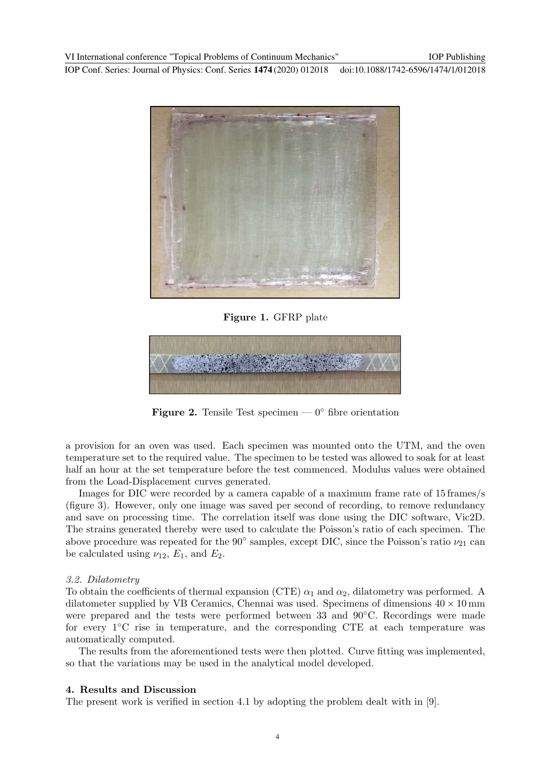

Figure 1. GFRP plate



**Figure 2.** Tensile Test specimen —  $0^{\circ}$  fibre orientation

a provision for an oven was used. Each specimen was mounted onto the UTM, and the oven temperature set to the required value. The specimen to be tested was allowed to soak for at least half an hour at the set temperature before the test commenced. Modulus values were obtained from the Load-Displacement curves generated.

Images for DIC were recorded by a camera capable of a maximum frame rate of 15 frames/s (figure 3). However, only one image was saved per second of recording, to remove redundancy and save on processing time. The correlation itself was done using the DIC software, Vic2D. The strains generated thereby were used to calculate the Poisson's ratio of each specimen. The above procedure was repeated for the 90° samples, except DIC, since the Poisson's ratio  $\nu_{21}$  can be calculated using  $\nu_{12}$ ,  $E_1$ , and  $E_2$ .

#### 3.2. Dilatometry

To obtain the coefficients of thermal expansion (CTE)  $\alpha_1$  and  $\alpha_2$ , dilatometry was performed. A dilatometer supplied by VB Ceramics, Chennai was used. Specimens of dimensions  $40 \times 10$  mm were prepared and the tests were performed between 33 and 90◦C. Recordings were made for every 1◦C rise in temperature, and the corresponding CTE at each temperature was automatically computed.

The results from the aforementioned tests were then plotted. Curve fitting was implemented, so that the variations may be used in the analytical model developed.

#### 4. Results and Discussion

The present work is verified in section 4.1 by adopting the problem dealt with in [9].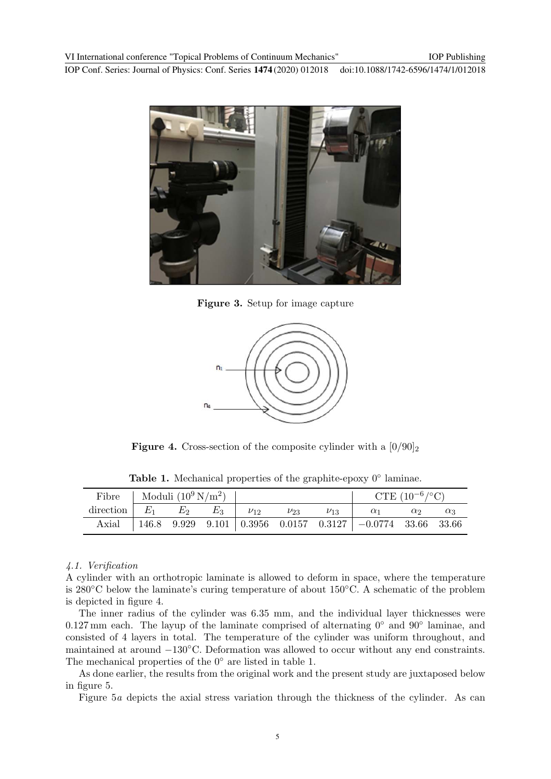

Figure 3. Setup for image capture



**Figure 4.** Cross-section of the composite cylinder with a  $[0/90]_2$ 

| <b>Table 1.</b> Mechanical properties of the graphite-epoxy $0^{\circ}$ laminae. |  |  |
|----------------------------------------------------------------------------------|--|--|
|                                                                                  |  |  |

|                                                                                               | Fibre   Moduli $(10^9 \,\mathrm{N/m^2})$ |  |  |  | CTE $(10^{-6}/^{\circ}C)$                                                |  |  |
|-----------------------------------------------------------------------------------------------|------------------------------------------|--|--|--|--------------------------------------------------------------------------|--|--|
| direction $E_1$ $E_2$ $E_3$ $\nu_{12}$ $\nu_{23}$ $\nu_{13}$ $\alpha_1$ $\alpha_2$ $\alpha_3$ |                                          |  |  |  |                                                                          |  |  |
|                                                                                               |                                          |  |  |  | Axial   146.8 9.929 9.101   0.3956 0.0157 0.3127   $-0.0774$ 33.66 33.66 |  |  |

#### 4.1. Verification

A cylinder with an orthotropic laminate is allowed to deform in space, where the temperature is 280◦C below the laminate's curing temperature of about 150◦C. A schematic of the problem is depicted in figure 4.

The inner radius of the cylinder was 6.35 mm, and the individual layer thicknesses were 0.127 mm each. The layup of the laminate comprised of alternating  $0°$  and  $90°$  laminae, and consisted of 4 layers in total. The temperature of the cylinder was uniform throughout, and maintained at around −130◦C. Deformation was allowed to occur without any end constraints. The mechanical properties of the  $0°$  are listed in table 1.

As done earlier, the results from the original work and the present study are juxtaposed below in figure 5.

Figure 5a depicts the axial stress variation through the thickness of the cylinder. As can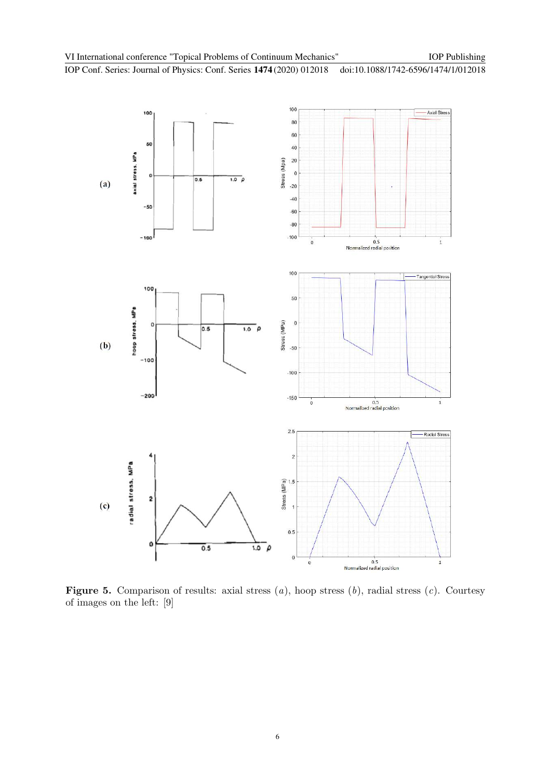

Figure 5. Comparison of results: axial stress  $(a)$ , hoop stress  $(b)$ , radial stress  $(c)$ . Courtesy of images on the left: [9]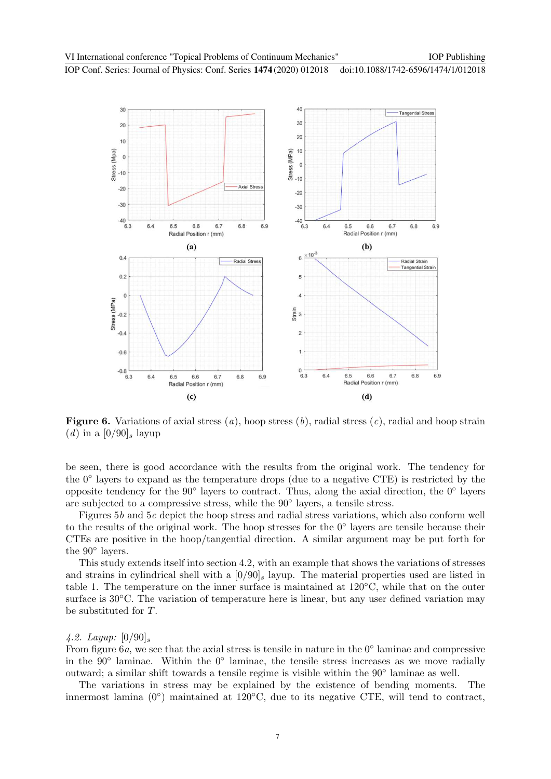

**Figure 6.** Variations of axial stress  $(a)$ , hoop stress  $(b)$ , radial stress  $(c)$ , radial and hoop strain (d) in a  $[0/90]$ <sub>s</sub> layup

be seen, there is good accordance with the results from the original work. The tendency for the 0◦ layers to expand as the temperature drops (due to a negative CTE) is restricted by the opposite tendency for the 90◦ layers to contract. Thus, along the axial direction, the 0◦ layers are subjected to a compressive stress, while the 90◦ layers, a tensile stress.

Figures 5b and 5c depict the hoop stress and radial stress variations, which also conform well to the results of the original work. The hoop stresses for the 0◦ layers are tensile because their CTEs are positive in the hoop/tangential direction. A similar argument may be put forth for the 90◦ layers.

This study extends itself into section 4.2, with an example that shows the variations of stresses and strains in cylindrical shell with a  $[0/90]_s$  layup. The material properties used are listed in table 1. The temperature on the inner surface is maintained at 120◦C, while that on the outer surface is  $30^{\circ}$ C. The variation of temperature here is linear, but any user defined variation may be substituted for T.

#### 4.2. Layup:  $[0/90]_s$

From figure  $6a$ , we see that the axial stress is tensile in nature in the  $0°$  laminae and compressive in the 90◦ laminae. Within the 0◦ laminae, the tensile stress increases as we move radially outward; a similar shift towards a tensile regime is visible within the 90◦ laminae as well.

The variations in stress may be explained by the existence of bending moments. The innermost lamina (0°) maintained at 120°C, due to its negative CTE, will tend to contract,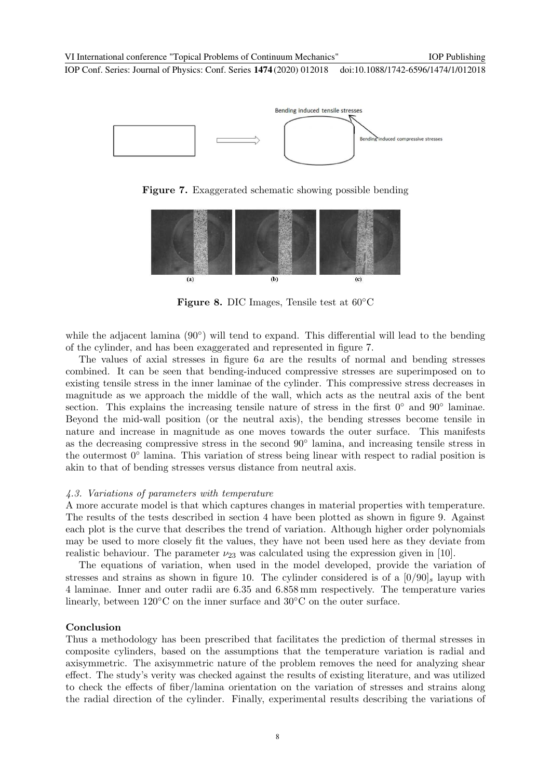

Figure 7. Exaggerated schematic showing possible bending



Figure 8. DIC Images, Tensile test at 60◦C

while the adjacent lamina (90°) will tend to expand. This differential will lead to the bending of the cylinder, and has been exaggerated and represented in figure 7.

The values of axial stresses in figure 6a are the results of normal and bending stresses combined. It can be seen that bending-induced compressive stresses are superimposed on to existing tensile stress in the inner laminae of the cylinder. This compressive stress decreases in magnitude as we approach the middle of the wall, which acts as the neutral axis of the bent section. This explains the increasing tensile nature of stress in the first  $0°$  and  $90°$  laminae. Beyond the mid-wall position (or the neutral axis), the bending stresses become tensile in nature and increase in magnitude as one moves towards the outer surface. This manifests as the decreasing compressive stress in the second 90◦ lamina, and increasing tensile stress in the outermost 0◦ lamina. This variation of stress being linear with respect to radial position is akin to that of bending stresses versus distance from neutral axis.

#### 4.3. Variations of parameters with temperature

A more accurate model is that which captures changes in material properties with temperature. The results of the tests described in section 4 have been plotted as shown in figure 9. Against each plot is the curve that describes the trend of variation. Although higher order polynomials may be used to more closely fit the values, they have not been used here as they deviate from realistic behaviour. The parameter  $\nu_{23}$  was calculated using the expression given in [10].

The equations of variation, when used in the model developed, provide the variation of stresses and strains as shown in figure 10. The cylinder considered is of a  $[0/90]_s$  layup with 4 laminae. Inner and outer radii are 6.35 and 6.858 mm respectively. The temperature varies linearly, between 120◦C on the inner surface and 30◦C on the outer surface.

#### Conclusion

Thus a methodology has been prescribed that facilitates the prediction of thermal stresses in composite cylinders, based on the assumptions that the temperature variation is radial and axisymmetric. The axisymmetric nature of the problem removes the need for analyzing shear effect. The study's verity was checked against the results of existing literature, and was utilized to check the effects of fiber/lamina orientation on the variation of stresses and strains along the radial direction of the cylinder. Finally, experimental results describing the variations of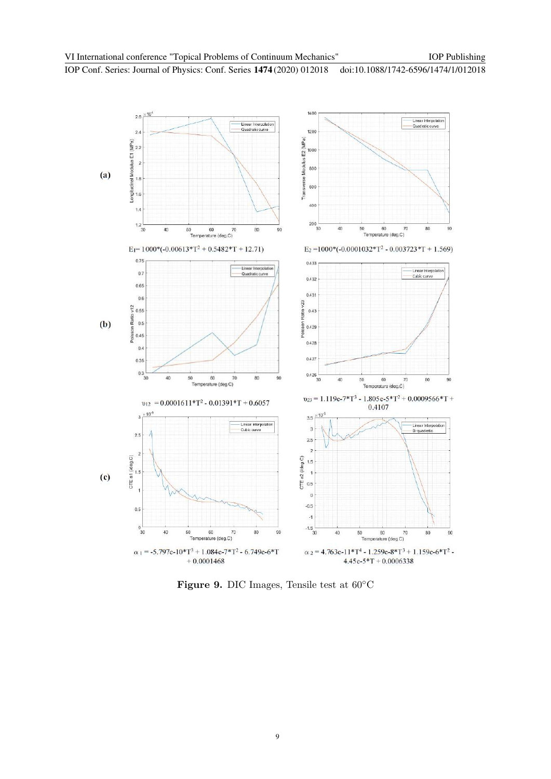

Figure 9. DIC Images, Tensile test at 60◦C